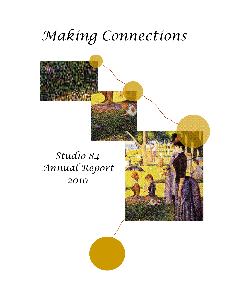# *Making Connections*

### *Studio 84 Annual Report 2010*



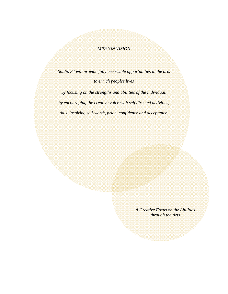#### *MISSION VISION*

*Studio 84 will provide fully accessible opportunities in the arts to enrich peoples lives* 

*by focusing on the strengths and abilities of the individual, by encouraging the creative voice with self directed activities, thus, inspiring self-worth, pride, confidence and acceptance.* 

> *A Creative Focus on the Abilities through the Arts*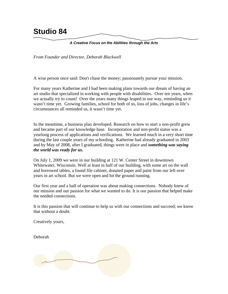### **Studio 84**

#### *A Creative Focus on the Abilities through the Arts*

*From Founder and Director, Deborah Blackwell* 

A wise person once said: Don't chase the money; passionately pursue your mission.

For many years Katherine and I had been making plans towards our dream of having an art studio that specialized in working with people with disabilities. Over ten years, when we actually try to count! Over the years many things leaped in our way, reminding us it wasn't time yet. Growing families, school for both of us, loss of jobs, changes in life's circumstances all reminded us, it wasn't time yet.

In the meantime, a business plan developed. Research on how to start a non-profit grew and became part of our knowledge base. Incorporation and non-profit status was a yearlong process of applications and verifications. We learned much in a very short time during the last couple years of my schooling. Katherine had already graduated in 2003 and by May of 2008, after I graduated, things were in place and *something was saying the world was ready for us***.**

On July 1, 2009 we were in our building at 121 W. Center Street in downtown Whitewater, Wisconsin. Well at least in half of our building, with some art on the wall and borrowed tables, a found file cabinet, donated paper and paint from our left over years in art school. But we were open and hit the ground running.

Our first year and a half of operation was about making connections. Nobody knew of our mission and our passion for what we wanted to do. It is our passion that helped make the needed connections.

It is this passion that will continue to help us with our connections and succeed; we know that without a doubt.

Creatively yours,

Deborah

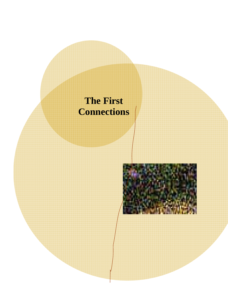### **The First Connections**

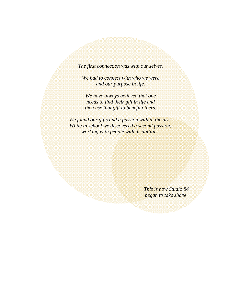*The first connection was with our selves.* 

*We had to connect with who we were and our purpose in life.* 

*We have always believed that one needs to find their gift in life and then use that gift to benefit others.* 

*We found our gifts and a passion with in the arts. While in school we discovered a second passion; working with people with disabilities.* 

> *This is how Studio 84 began to take shape.*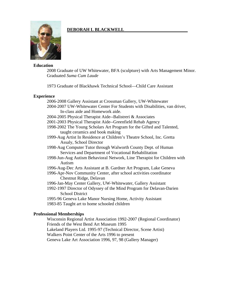#### **Education**

2008 Graduate of UW Whitewater, BFA (sculpture) with Arts Management Minor. Graduated *Suma Cum Laude*

1973 Graduate of Blackhawk Technical School—Child Care Assistant

**DEBORAH L BLACKWELL** 

#### **Experience**

2006-2008 Gallery Assistant at Crossman Gallery, UW-Whitewater 2004-2007 UW-Whitewater Center For Students with Disabilities, van driver, In-class aide and Homework aide. 2004-2005 Physical Therapist Aide--Balistreri & Associates 2001-2003 Physical Therapist Aide--Greenfield Rehab Agency 1998-2002 The Young Scholars Art Program for the Gifted and Talented, taught ceramics and book making 1999-Aug Artist In Residence at Children's Theatre School, Inc. Gretta Assaly, School Director 1998-Aug Computer Tutor through Walworth County Dept. of Human Services and Department of Vocational Rehabilitation 1998-Jun-Aug Autism Behavioral Network, Line Therapist for Children with Autism 1996-Aug-Dec Arts Assistant at B. Gardner Art Program, Lake Geneva 1996-Apr-Nov Community Center, after school activities coordinator Chestnut Ridge, Delavan 1996-Jan-May Center Gallery, UW-Whitewater, Gallery Assistant 1992-1997 Director of Odyssey of the Mind Program for Delavan-Darien School District 1995-96 Geneva Lake Manor Nursing Home, Activity Assistant 1983-85 Taught art to home schooled children

#### **Professional Memberships**

 Wisconsin Regional Artist Association 1992-2007 (Regional Coordinator) Friends of the West Bend Art Museum 1995 Lakeland Players Ltd. 1995-97 (Technical Director, Scene Artist) Walkers Point Center of the Arts 1996 to present Geneva Lake Art Association 1996, 97, 98 (Gallery Manager)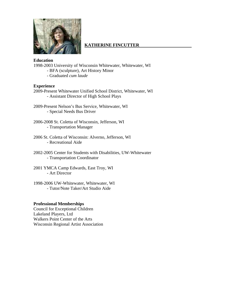

#### **KATHERINE FINCUTTER**

#### **Education**

1998-2003 University of Wisconsin Whitewater, Whitewater, WI

- BFA (sculpture), Art History Minor
- Graduated *cum laude*

#### **Experience**

- 2009-Present Whitewater Unified School District, Whitewater, WI - Assistant Director of High School Plays
- 2009-Present Nelson's Bus Service, Whitewater, WI - Special Needs Bus Driver
- 2006-2008 St. Coletta of Wisconsin, Jefferson, WI - Transportation Manager
- 2006 St. Coletta of Wisconsin: Alverno, Jefferson, WI - Recreational Aide
- 2002-2005 Center for Students with Disabilities, UW-Whitewater - Transportation Coordinator
- 2001 YMCA Camp Edwards, East Troy, WI - Art Director
- 1998-2006 UW-Whitewater, Whitewater, WI - Tutor/Note Taker/Art Studio Aide

#### **Professional Memberships**

Council for Exceptional Children Lakeland Players, Ltd Walkers Point Center of the Arts Wisconsin Regional Artist Association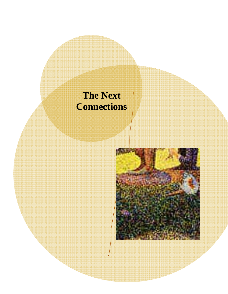## **The Next Connections**

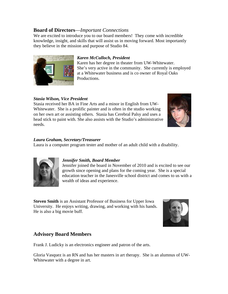#### **Board of Directors**—*Important Connections*

We are excited to introduce you to our board members! They come with incredible knowledge, insight, and skills that will assist us in moving forward. Most importantly they believe in the mission and purpose of Studio 84.



#### *Karen McCulloch, President*

Karen has her degree in theater from UW-Whitewater. She's very active in the community. She currently is employed at a Whitewater business and is co owner of Royal Oaks Productions.

#### *Stasia Wilson, Vice President*

Stasia received her BA in Fine Arts and a minor in English from UW-Whitewater. She is a prolific painter and is often in the studio working on her own art or assisting others. Stasia has Cerebral Palsy and uses a head stick to paint with. She also assists with the Studio's administrative needs.



#### *Laura Graham, Secretary/Treasurer*

Laura is a computer program tester and mother of an adult child with a disability.



#### *Jennifer Smith, Board Member*

Jennifer joined the board in November of 2010 and is excited to see our growth since opening and plans for the coming year. She is a special education teacher in the Janesville school district and comes to us with a wealth of ideas and experience.

**Steven Smith** is an Assistant Professor of Business for Upper Iowa University. He enjoys writing, drawing, and working with his hands. He is also a big movie buff.



#### **Advisory Board Members**

Frank J. Ludicky is an electronics engineer and patron of the arts.

Gloria Vasquez is an RN and has her masters in art therapy. She is an alumnus of UW-Whitewater with a degree in art.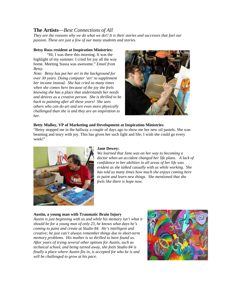#### **The Artists**—*Best Connections of All*

*They are the reasons why we do what we do!! It is their stories and successes that fuel our passion. These are just a few of our many students and stories.* 

#### **Betsy Russ resident at Inspiration Ministries:**

 "Hi, I was there this morning. It was the highlight of my summer. I cried for joy all the way home. Meeting Stasia was awesome." *Email from Betsy.* 

*Note: Betsy has put her art in the background for over 30 years. Doing computer 'art' to supplement her income instead. She has cried so many times when she comes here because of the joy she feels knowing she has a place that understands her needs and desires as a creative person. She is thrilled to be back to painting after all these years! She sees others who can do art and are even more physically challenged than she is and they are an inspiration to her.* 



#### **Betty Mulloy, VP of Marketing and Development at Inspiration Ministries**:

"Betsy stopped me in the hallway a couple of days ago to show me her new oil pastels. She was beaming and teary with joy. This has given her such light and life; I wish she could go every week!"



#### **Jane Dewey:**

*We learned that Jane was on her way to becoming a doctor when an accident changed her life plans. A lack of confidence in her abilities in all areas of her life was evident as she talked casually with us while working. She has told us many times how much she enjoys coming here to paint and learn new things. She mentioned that she feels like there is hope now.* 

#### **Austin, a young man with Traumatic Brain Injury**

*Austin is just beginning with us and while his memory isn't what it should be for a young man of only 23, he knows what days he's coming to paint and create at Studio 84. He's intelligent and creative; he just can't always remember things due to short-term memory problems. His mother is so thrilled to have found us. After years of trying several other options for Austin, such as technical school, and being turned away, she feels Studio 84 is finally a place where Austin fits in, is accepted for who he is and will be challenged to grow at his pace.* 

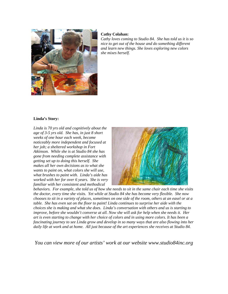

#### **Cathy Colahan:**

*Cathy loves coming to Studio 84. She has told us it is so nice to get out of the house and do something different and learn new things. She loves exploring new colors she mixes herself.* 

#### **Linda's Story:**

*Linda is 70 yrs old and cognitively about the age of 3-5 yrs old. She has, in just 8 short weeks of one hour each week, become noticeably more independent and focused at her job; a sheltered workshop in Fort Atkinson. While she is at Studio 84 she has gone from needing complete assistance with getting set up to doing this herself. She makes all her own decisions as to what she wants to paint on, what colors she will use, what brushes to paint with. Linda's aide has worked with her for over 6 years. She is very familiar with her consistent and methodical* 



*behaviors. For example, she told us of how she needs to sit in the same chair each time she visits the doctor, every time she visits. Yet while at Studio 84 she has become very flexible. She now chooses to sit in a variety of places, sometimes on one side of the room, others at an easel or at a table. She has even sat on the floor to paint! Linda continues to surprise her aide with the choices she is making and what she does. Linda's conversation with others and us is starting to improve, before she wouldn't converse at all. Now she will ask for help when she needs it. Her art is even starting to change with her choice of colors and in using more colors. It has been a fascinating journey to see Linda grow and develop in so many ways that are also flowing into her daily life at work and at home. All just because of the art experiences she receives at Studio 84.* 

*You can view more of our artists' work at our website www.studio84inc.org*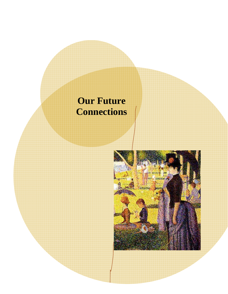## **Our Future Connections**

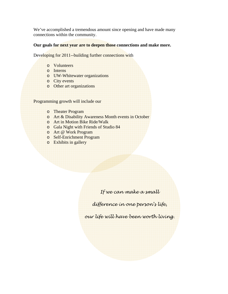We've accomplished a tremendous amount since opening and have made many connections within the community.

#### **Our goals for next year are to deepen those connections and make more.**

Developing for 2011--building further connections with

- o Volunteers
- o Interns
- o UW-Whitewater organizations
- o City events
- o Other art organizations

Programming growth will include our

- o Theater Program
- o Art & Disability Awareness Month events in October
- o Art in Motion Bike Ride/Walk
- o Gala Night with Friends of Studio 84
- o Art @ Work Program
- o Self-Enrichment Program
- o Exhibits in gallery

*If we can make a small* 

*difference in one person's life,* 

*our life will have been worth living.*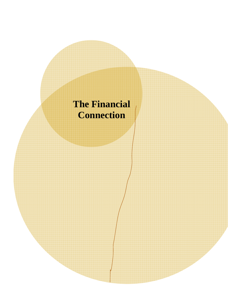## **The Financial Connection**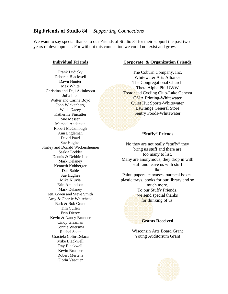#### **Big Friends of Studio 84**—*Supporting Connections*

We want to say special thanks to our Friends of Studio 84 for their support the past two years of development. For without this connection we could not exist and grow.

#### **Individual Friends**

Frank Ludicky Deborah Blackwell Dawn Hunter Max White Christina and Deji Akinlosotu Julia Ince Walter and Carina Boyd John Wickenberg Wade Dazey Katherine Fincutter Sue Messer Marshal Anderson Robert McCullough Ann Engleman David Pawl Sue Hughes Shirley and Donald Wickersheimer Saskia Lodder Dennis & Debbie Lee Mark Delaney Kenneth Kohberger Dan Sable Sue Hughes Mike Kluvia Erin Amundson Mark Delaney Jen, Gwen and Steve Smith Amy & Charlie Whitehead Barb & Bob Grant Tim Cullen Erin Diercx Kevin & Nancy Brunner Cindy Glazman Connie Wiersma Rachel Scott Graciela Colin-Delaca Mike Blackwell Ray Blackwell Kevin Brunner Robert Mertens Gloria Vasquez

#### **Corporate & Organization Friends**

The Coburn Company, Inc. Whitewater Arts Alliance The Congregational Church Theta Alpha Phi-UWW Treadhead Cycling Club-Lake Geneva GMA Printing-Whitewater Quiet Hut Sports-Whitewater LaGrange General Store Sentry Foods-Whitewater

#### **"Stuffy" Friends**

No they are not really "stuffy" they bring us stuff and there are too many to list. Many are anonymous; they drop in with stuff and leave us with stuff like: Paint, papers, canvases, oatmeal boxes, plastic trays, books for our library and so much more. To our Stuffy Friends, we send special thanks for thinking of us.

#### **Grants Received**

Wisconsin Arts Board Grant Young Auditorium Grant

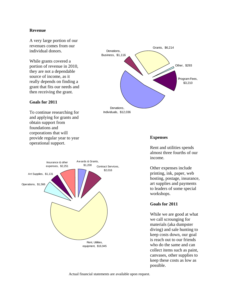#### **Revenue**

A very large portion of our revenues comes from our individual donors.

While grants covered a portion of revenue in 2010, they are not a dependable source of income, as it really depends on finding a grant that fits our needs and then receiving the grant.

#### **Goals for 2011**

To continue researching for and applying for grants and obtain support from foundations and corporations that will provide regular year to year operational support.





#### **Expenses**

Rent and utilities spends almost three fourths of our income.

Other expenses include printing, ink, paper, web hosting, postage, insurance, art supplies and payments to leaders of some special workshops.

#### **Goals for 2011**

While we are good at what we call scrounging for materials (aka dumpster diving) and sale hunting to keep costs down, our goal is reach out to our friends who do the same and can collect items such as paint, canvases, other supplies to keep these costs as low as possible.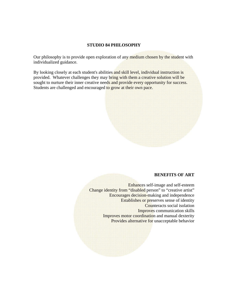#### **STUDIO 84 PHILOSOPHY**

Our philosophy is to provide open exploration of any medium chosen by the student with individualized guidance.

By looking closely at each student's abilities and skill level, individual instruction is provided. Whatever challenges they may bring with them a creative solution will be sought to nurture their inner creative needs and provide every opportunity for success. Students are challenged and encouraged to grow at their own pace.

#### **BENEFITS OF ART**

Enhances self-image and self-esteem Change identity from "disabled person" to "creative artist" Encourages decision-making and independence Establishes or preserves sense of identity Counteracts social isolation Improves communication skills Improves motor coordination and manual dexterity Provides alternative for unacceptable behavior